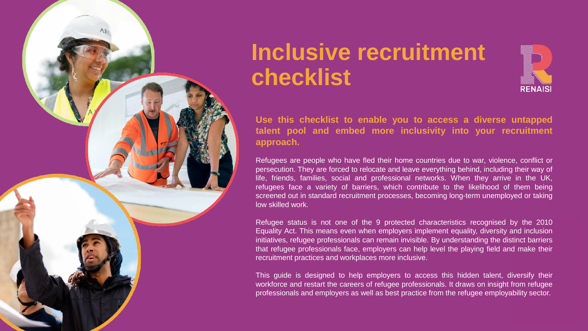

## **Inclusive recruitment checklist**



**Use this checklist to enable you to access a diverse untapped talent pool and embed more inclusivity into your recruitment approach.**

Refugees are people who have fled their home countries due to war, violence, conflict or persecution. They are forced to relocate and leave everything behind, including their way of life, friends, families, social and professional networks. When they arrive in the UK, refugees face a variety of barriers, which contribute to the likelihood of them being screened out in standard recruitment processes, becoming long-term unemployed or taking low skilled work.

Refugee status is not one of the 9 protected characteristics recognised by the 2010 Equality Act. This means even when employers implement equality, diversity and inclusion initiatives, refugee professionals can remain invisible. By understanding the distinct barriers that refugee professionals face, employers can help level the playing field and make their recruitment practices and workplaces more inclusive.

This guide is designed to help employers to access this hidden talent, diversify their workforce and restart the careers of refugee professionals. It draws on insight from refugee professionals and employers as well as best practice from the refugee employability sector.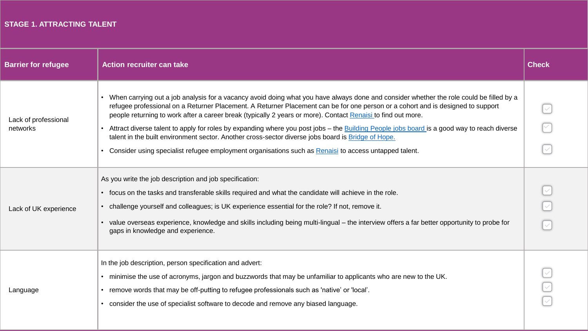#### **STAGE 1. ATTRACTING TALENT**

| <b>Barrier for refugee</b>       | <b>Action recruiter can take</b>                                                                                                                                                                                                                                                                                                                                                                                                                                                                                                                                                                                                                                                                                                                                     | <b>Check</b> |
|----------------------------------|----------------------------------------------------------------------------------------------------------------------------------------------------------------------------------------------------------------------------------------------------------------------------------------------------------------------------------------------------------------------------------------------------------------------------------------------------------------------------------------------------------------------------------------------------------------------------------------------------------------------------------------------------------------------------------------------------------------------------------------------------------------------|--------------|
| Lack of professional<br>networks | • When carrying out a job analysis for a vacancy avoid doing what you have always done and consider whether the role could be filled by a<br>refugee professional on a Returner Placement. A Returner Placement can be for one person or a cohort and is designed to support<br>people returning to work after a career break (typically 2 years or more). Contact Renaisi to find out more.<br>• Attract diverse talent to apply for roles by expanding where you post jobs – the <b>Building People jobs board</b> is a good way to reach diverse<br>talent in the built environment sector. Another cross-sector diverse jobs board is Bridge of Hope.<br>• Consider using specialist refugee employment organisations such as Renaisi to access untapped talent. |              |
| Lack of UK experience            | As you write the job description and job specification:<br>• focus on the tasks and transferable skills required and what the candidate will achieve in the role.<br>• challenge yourself and colleagues; is UK experience essential for the role? If not, remove it.<br>• value overseas experience, knowledge and skills including being multi-lingual – the interview offers a far better opportunity to probe for<br>gaps in knowledge and experience.                                                                                                                                                                                                                                                                                                           |              |
| Language                         | In the job description, person specification and advert:<br>. minimise the use of acronyms, jargon and buzzwords that may be unfamiliar to applicants who are new to the UK.<br>• remove words that may be off-putting to refugee professionals such as 'native' or 'local'.<br>• consider the use of specialist software to decode and remove any biased language.                                                                                                                                                                                                                                                                                                                                                                                                  |              |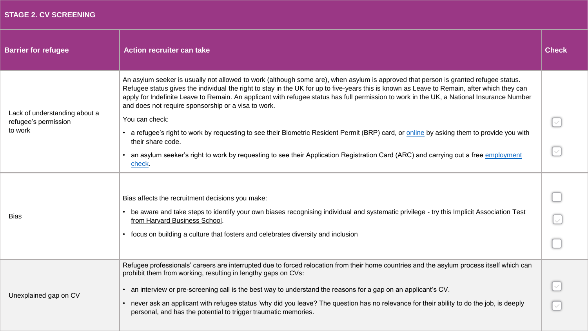#### **STAGE 2. CV SCREENING**

| <b>Barrier for refugee</b>                                       | <b>Action recruiter can take</b>                                                                                                                                                                                                                                                                                                                                                                                                                                                                                                            | <b>Check</b> |
|------------------------------------------------------------------|---------------------------------------------------------------------------------------------------------------------------------------------------------------------------------------------------------------------------------------------------------------------------------------------------------------------------------------------------------------------------------------------------------------------------------------------------------------------------------------------------------------------------------------------|--------------|
| Lack of understanding about a<br>refugee's permission<br>to work | An asylum seeker is usually not allowed to work (although some are), when asylum is approved that person is granted refugee status.<br>Refugee status gives the individual the right to stay in the UK for up to five-years this is known as Leave to Remain, after which they can<br>apply for Indefinite Leave to Remain. An applicant with refugee status has full permission to work in the UK, a National Insurance Number<br>and does not require sponsorship or a visa to work.<br>You can check:                                    |              |
|                                                                  | • a refugee's right to work by requesting to see their Biometric Resident Permit (BRP) card, or online by asking them to provide you with<br>their share code.<br>• an asylum seeker's right to work by requesting to see their Application Registration Card (ARC) and carrying out a free employment<br>check.                                                                                                                                                                                                                            | $\checkmark$ |
| <b>Bias</b>                                                      | Bias affects the recruitment decisions you make:<br>• be aware and take steps to identify your own biases recognising individual and systematic privilege - try this Implicit Association Test<br>from Harvard Business School.<br>• focus on building a culture that fosters and celebrates diversity and inclusion                                                                                                                                                                                                                        |              |
| Unexplained gap on CV                                            | Refugee professionals' careers are interrupted due to forced relocation from their home countries and the asylum process itself which can<br>prohibit them from working, resulting in lengthy gaps on CVs:<br>• an interview or pre-screening call is the best way to understand the reasons for a gap on an applicant's CV.<br>• never ask an applicant with refugee status 'why did you leave? The question has no relevance for their ability to do the job, is deeply<br>personal, and has the potential to trigger traumatic memories. |              |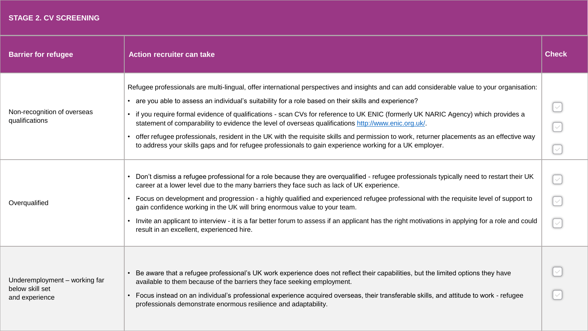#### **STAGE 2. CV SCREENING**

| <b>Barrier for refugee</b>                                         | <b>Action recruiter can take</b>                                                                                                                                                                                                                                                                                                                                                                                                                                                                                                                                                                                                                                                                                                                                                                                                                                                                                                                                                                                                                                                                                                                                                                                                                                                                                                                                                                                              | <b>Check</b>                                                                                      |
|--------------------------------------------------------------------|-------------------------------------------------------------------------------------------------------------------------------------------------------------------------------------------------------------------------------------------------------------------------------------------------------------------------------------------------------------------------------------------------------------------------------------------------------------------------------------------------------------------------------------------------------------------------------------------------------------------------------------------------------------------------------------------------------------------------------------------------------------------------------------------------------------------------------------------------------------------------------------------------------------------------------------------------------------------------------------------------------------------------------------------------------------------------------------------------------------------------------------------------------------------------------------------------------------------------------------------------------------------------------------------------------------------------------------------------------------------------------------------------------------------------------|---------------------------------------------------------------------------------------------------|
| Non-recognition of overseas<br>qualifications<br>Overqualified     | Refugee professionals are multi-lingual, offer international perspectives and insights and can add considerable value to your organisation:<br>• are you able to assess an individual's suitability for a role based on their skills and experience?<br>if you require formal evidence of qualifications - scan CVs for reference to UK ENIC (formerly UK NARIC Agency) which provides a<br>statement of comparability to evidence the level of overseas qualifications http://www.enic.org.uk/.<br>offer refugee professionals, resident in the UK with the requisite skills and permission to work, returner placements as an effective way<br>to address your skills gaps and for refugee professionals to gain experience working for a UK employer.<br>• Don't dismiss a refugee professional for a role because they are overqualified - refugee professionals typically need to restart their UK<br>career at a lower level due to the many barriers they face such as lack of UK experience.<br>• Focus on development and progression - a highly qualified and experienced refugee professional with the requisite level of support to<br>gain confidence working in the UK will bring enormous value to your team.<br>Invite an applicant to interview - it is a far better forum to assess if an applicant has the right motivations in applying for a role and could<br>result in an excellent, experienced hire. | $\overline{\vee}$<br>$\checkmark$<br>$\checkmark$<br>$\checkmark$<br>$\checkmark$<br>$\checkmark$ |
| Underemployment - working far<br>below skill set<br>and experience | Be aware that a refugee professional's UK work experience does not reflect their capabilities, but the limited options they have<br>available to them because of the barriers they face seeking employment.<br>• Focus instead on an individual's professional experience acquired overseas, their transferable skills, and attitude to work - refugee<br>professionals demonstrate enormous resilience and adaptability.                                                                                                                                                                                                                                                                                                                                                                                                                                                                                                                                                                                                                                                                                                                                                                                                                                                                                                                                                                                                     |                                                                                                   |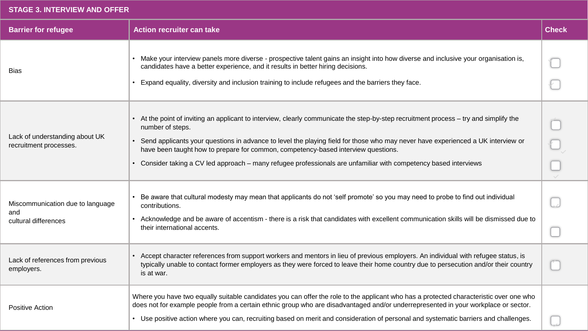#### **STAGE 3. INTERVIEW AND OFFER**

| <b>Barrier for refugee</b>                                      | <b>Action recruiter can take</b>                                                                                                                                                                                                                                                                                                                                                                                                                                                                        | <b>Check</b> |
|-----------------------------------------------------------------|---------------------------------------------------------------------------------------------------------------------------------------------------------------------------------------------------------------------------------------------------------------------------------------------------------------------------------------------------------------------------------------------------------------------------------------------------------------------------------------------------------|--------------|
| <b>Bias</b>                                                     | • Make your interview panels more diverse - prospective talent gains an insight into how diverse and inclusive your organisation is,<br>candidates have a better experience, and it results in better hiring decisions.<br>• Expand equality, diversity and inclusion training to include refugees and the barriers they face.                                                                                                                                                                          |              |
| Lack of understanding about UK<br>recruitment processes.        | • At the point of inviting an applicant to interview, clearly communicate the step-by-step recruitment process – try and simplify the<br>number of steps.<br>• Send applicants your questions in advance to level the playing field for those who may never have experienced a UK interview or<br>have been taught how to prepare for common, competency-based interview questions.<br>• Consider taking a CV led approach - many refugee professionals are unfamiliar with competency based interviews |              |
| Miscommunication due to language<br>and<br>cultural differences | Be aware that cultural modesty may mean that applicants do not 'self promote' so you may need to probe to find out individual<br>contributions.<br>• Acknowledge and be aware of accentism - there is a risk that candidates with excellent communication skills will be dismissed due to<br>their international accents.                                                                                                                                                                               |              |
| Lack of references from previous<br>employers.                  | • Accept character references from support workers and mentors in lieu of previous employers. An individual with refugee status, is<br>typically unable to contact former employers as they were forced to leave their home country due to persecution and/or their country<br>is at war.                                                                                                                                                                                                               |              |
| <b>Positive Action</b>                                          | Where you have two equally suitable candidates you can offer the role to the applicant who has a protected characteristic over one who<br>does not for example people from a certain ethnic group who are disadvantaged and/or underrepresented in your workplace or sector.<br>• Use positive action where you can, recruiting based on merit and consideration of personal and systematic barriers and challenges.                                                                                    |              |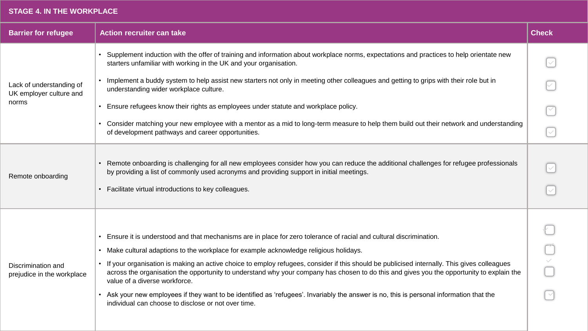#### **STAGE 4. IN THE WORKPLACE**

| <b>Barrier for refugee</b>                                   | <b>Action recruiter can take</b>                                                                                                                                                                                                                                                                                                                                                                                                                                                                                                                                                                                                                                                                                                               | <b>Check</b>      |
|--------------------------------------------------------------|------------------------------------------------------------------------------------------------------------------------------------------------------------------------------------------------------------------------------------------------------------------------------------------------------------------------------------------------------------------------------------------------------------------------------------------------------------------------------------------------------------------------------------------------------------------------------------------------------------------------------------------------------------------------------------------------------------------------------------------------|-------------------|
| Lack of understanding of<br>UK employer culture and<br>norms | Supplement induction with the offer of training and information about workplace norms, expectations and practices to help orientate new<br>starters unfamiliar with working in the UK and your organisation.                                                                                                                                                                                                                                                                                                                                                                                                                                                                                                                                   |                   |
|                                                              | • Implement a buddy system to help assist new starters not only in meeting other colleagues and getting to grips with their role but in<br>understanding wider workplace culture.                                                                                                                                                                                                                                                                                                                                                                                                                                                                                                                                                              |                   |
|                                                              | Ensure refugees know their rights as employees under statute and workplace policy.<br>$\bullet$                                                                                                                                                                                                                                                                                                                                                                                                                                                                                                                                                                                                                                                |                   |
|                                                              | • Consider matching your new employee with a mentor as a mid to long-term measure to help them build out their network and understanding<br>of development pathways and career opportunities.                                                                                                                                                                                                                                                                                                                                                                                                                                                                                                                                                  | $\overline{\vee}$ |
| Remote onboarding                                            | Remote onboarding is challenging for all new employees consider how you can reduce the additional challenges for refugee professionals<br>by providing a list of commonly used acronyms and providing support in initial meetings.<br>• Facilitate virtual introductions to key colleagues.                                                                                                                                                                                                                                                                                                                                                                                                                                                    | $\checkmark$      |
| Discrimination and<br>prejudice in the workplace             | • Ensure it is understood and that mechanisms are in place for zero tolerance of racial and cultural discrimination.<br>• Make cultural adaptions to the workplace for example acknowledge religious holidays.<br>• If your organisation is making an active choice to employ refugees, consider if this should be publicised internally. This gives colleagues<br>across the organisation the opportunity to understand why your company has chosen to do this and gives you the opportunity to explain the<br>value of a diverse workforce.<br>Ask your new employees if they want to be identified as 'refugees'. Invariably the answer is no, this is personal information that the<br>individual can choose to disclose or not over time. |                   |